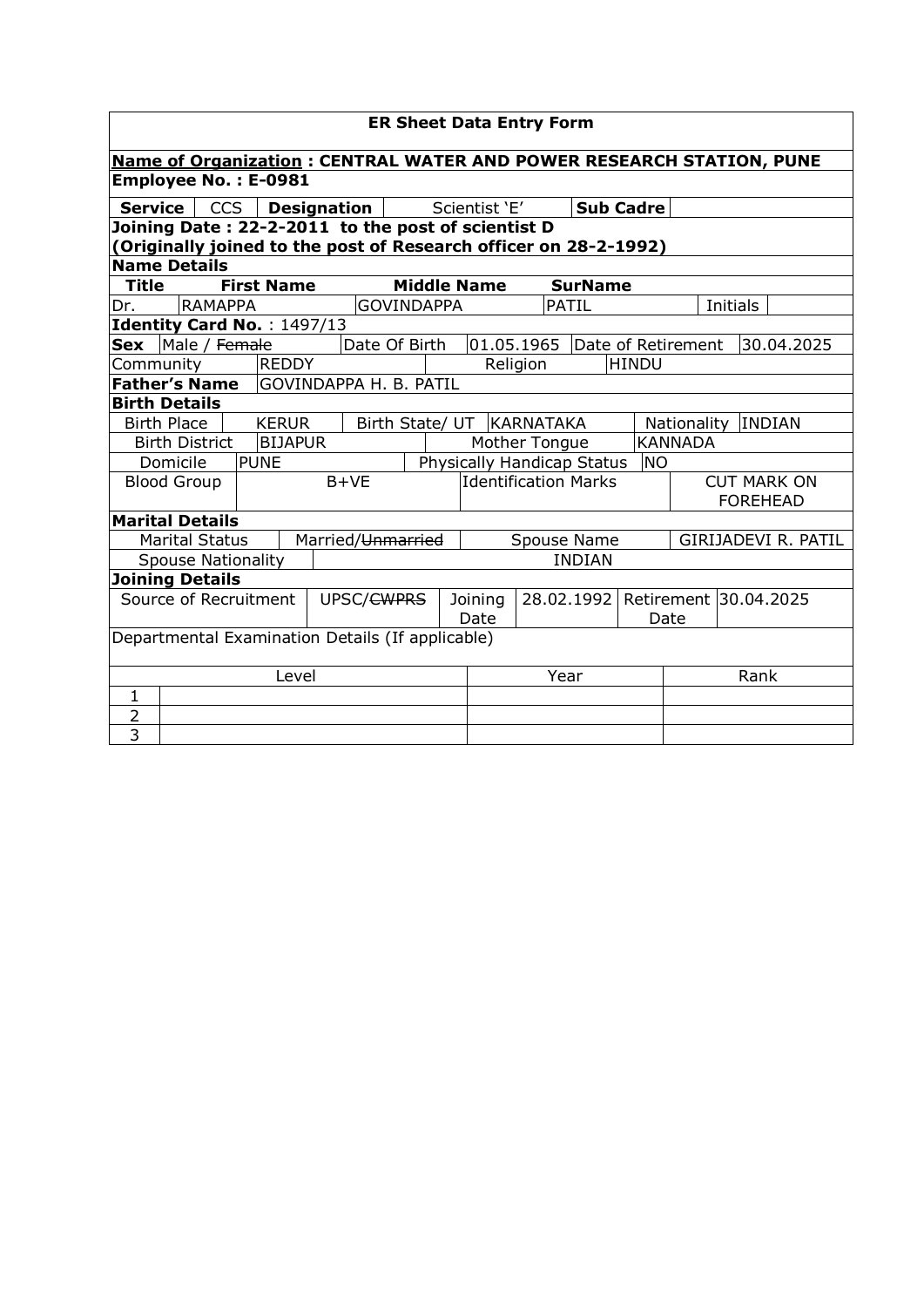|                                                                             | <b>ER Sheet Data Entry Form</b>                                                         |                |  |                   |  |                               |                             |                             |                    |                            |                                       |                  |                              |          |                     |
|-----------------------------------------------------------------------------|-----------------------------------------------------------------------------------------|----------------|--|-------------------|--|-------------------------------|-----------------------------|-----------------------------|--------------------|----------------------------|---------------------------------------|------------------|------------------------------|----------|---------------------|
| <b>Name of Organization: CENTRAL WATER AND POWER RESEARCH STATION, PUNE</b> |                                                                                         |                |  |                   |  |                               |                             |                             |                    |                            |                                       |                  |                              |          |                     |
|                                                                             | <b>Employee No.: E-0981</b>                                                             |                |  |                   |  |                               |                             |                             |                    |                            |                                       |                  |                              |          |                     |
| <b>Service</b>                                                              |                                                                                         | <b>CCS</b>     |  |                   |  | <b>Designation</b>            |                             |                             | Scientist 'E'      |                            |                                       | <b>Sub Cadre</b> |                              |          |                     |
| Joining Date: 22-2-2011 to the post of scientist D                          |                                                                                         |                |  |                   |  |                               |                             |                             |                    |                            |                                       |                  |                              |          |                     |
|                                                                             | (Originally joined to the post of Research officer on 28-2-1992)<br><b>Name Details</b> |                |  |                   |  |                               |                             |                             |                    |                            |                                       |                  |                              |          |                     |
| Title                                                                       |                                                                                         |                |  | <b>First Name</b> |  |                               |                             |                             | <b>Middle Name</b> |                            | <b>SurName</b>                        |                  |                              |          |                     |
| Dr.                                                                         |                                                                                         | <b>RAMAPPA</b> |  |                   |  |                               | <b>GOVINDAPPA</b>           |                             |                    |                            | PATIL                                 |                  |                              | Initials |                     |
| Identity Card No.: 1497/13                                                  |                                                                                         |                |  |                   |  |                               |                             |                             |                    |                            |                                       |                  |                              |          |                     |
| Sex Male / Female                                                           |                                                                                         |                |  |                   |  |                               | Date Of Birth               |                             |                    | 01.05.1965                 |                                       |                  | Date of Retirement           |          | 30.04.2025          |
| Community                                                                   |                                                                                         |                |  | <b>REDDY</b>      |  |                               |                             |                             |                    | Religion                   |                                       | HINDU            |                              |          |                     |
| <b>Father's Name</b>                                                        |                                                                                         |                |  |                   |  | <b>GOVINDAPPA H. B. PATIL</b> |                             |                             |                    |                            |                                       |                  |                              |          |                     |
| <b>Birth Details</b>                                                        |                                                                                         |                |  |                   |  |                               |                             |                             |                    |                            |                                       |                  |                              |          |                     |
|                                                                             | <b>Birth Place</b>                                                                      |                |  | <b>KERUR</b>      |  |                               |                             | Birth State/ UT   KARNATAKA |                    |                            |                                       |                  | <b>INDIAN</b><br>Nationality |          |                     |
|                                                                             | <b>Birth District</b>                                                                   |                |  | <b>BIJAPUR</b>    |  |                               |                             |                             |                    | Mother Tongue              |                                       |                  | <b>KANNADA</b>               |          |                     |
|                                                                             | Domicile                                                                                |                |  | <b>PUNE</b>       |  |                               |                             |                             |                    | Physically Handicap Status |                                       | <b>NO</b>        |                              |          |                     |
|                                                                             | <b>Blood Group</b>                                                                      |                |  |                   |  | $B+VE$                        | <b>Identification Marks</b> |                             |                    |                            | <b>CUT MARK ON</b><br><b>FOREHEAD</b> |                  |                              |          |                     |
| <b>Marital Details</b>                                                      |                                                                                         |                |  |                   |  |                               |                             |                             |                    |                            |                                       |                  |                              |          |                     |
|                                                                             | <b>Marital Status</b>                                                                   |                |  |                   |  | Married/Unmarried             |                             |                             |                    | Spouse Name                |                                       |                  |                              |          | GIRIJADEVI R. PATIL |
|                                                                             | <b>Spouse Nationality</b>                                                               |                |  |                   |  |                               |                             |                             |                    |                            | <b>INDIAN</b>                         |                  |                              |          |                     |
| <b>Joining Details</b>                                                      |                                                                                         |                |  |                   |  |                               |                             |                             |                    |                            |                                       |                  |                              |          |                     |
| Source of Recruitment<br>UPSC/ <del>CWPRS</del>                             |                                                                                         |                |  |                   |  | Joining                       |                             | 28.02.1992                  |                    | Retirement 30.04.2025      |                                       |                  |                              |          |                     |
|                                                                             |                                                                                         |                |  |                   |  |                               |                             |                             | Date               |                            |                                       |                  | Date                         |          |                     |
| Departmental Examination Details (If applicable)                            |                                                                                         |                |  |                   |  |                               |                             |                             |                    |                            |                                       |                  |                              |          |                     |
| Level                                                                       |                                                                                         |                |  |                   |  |                               | Year                        |                             |                    | Rank                       |                                       |                  |                              |          |                     |
| $\mathbf{1}$                                                                |                                                                                         |                |  |                   |  |                               |                             |                             |                    |                            |                                       |                  |                              |          |                     |
| $\overline{2}$                                                              |                                                                                         |                |  |                   |  |                               |                             |                             |                    |                            |                                       |                  |                              |          |                     |
| 3                                                                           |                                                                                         |                |  |                   |  |                               |                             |                             |                    |                            |                                       |                  |                              |          |                     |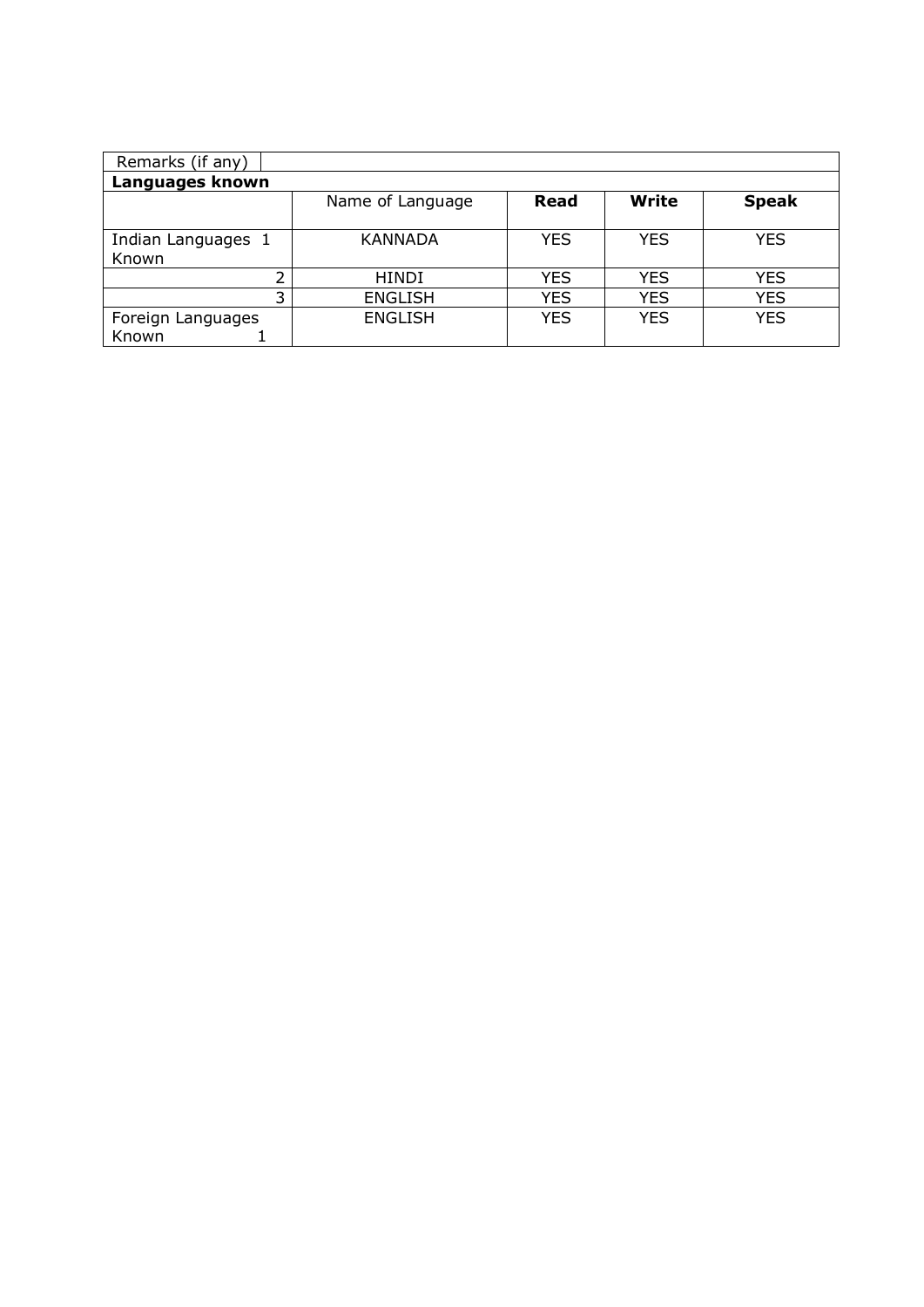| Remarks (if any)   |                  |            |              |              |  |  |  |  |  |  |
|--------------------|------------------|------------|--------------|--------------|--|--|--|--|--|--|
| Languages known    |                  |            |              |              |  |  |  |  |  |  |
|                    | Name of Language | Read       | <b>Write</b> | <b>Speak</b> |  |  |  |  |  |  |
|                    |                  |            |              |              |  |  |  |  |  |  |
| Indian Languages 1 | <b>KANNADA</b>   | YES        | <b>YES</b>   | <b>YES</b>   |  |  |  |  |  |  |
| Known              |                  |            |              |              |  |  |  |  |  |  |
| C.                 | <b>HINDI</b>     | <b>YES</b> | <b>YES</b>   | <b>YES</b>   |  |  |  |  |  |  |
| 3                  | <b>ENGLISH</b>   | <b>YES</b> | <b>YES</b>   | <b>YES</b>   |  |  |  |  |  |  |
| Foreign Languages  | <b>ENGLISH</b>   | <b>YES</b> | <b>YES</b>   | <b>YES</b>   |  |  |  |  |  |  |
| Known              |                  |            |              |              |  |  |  |  |  |  |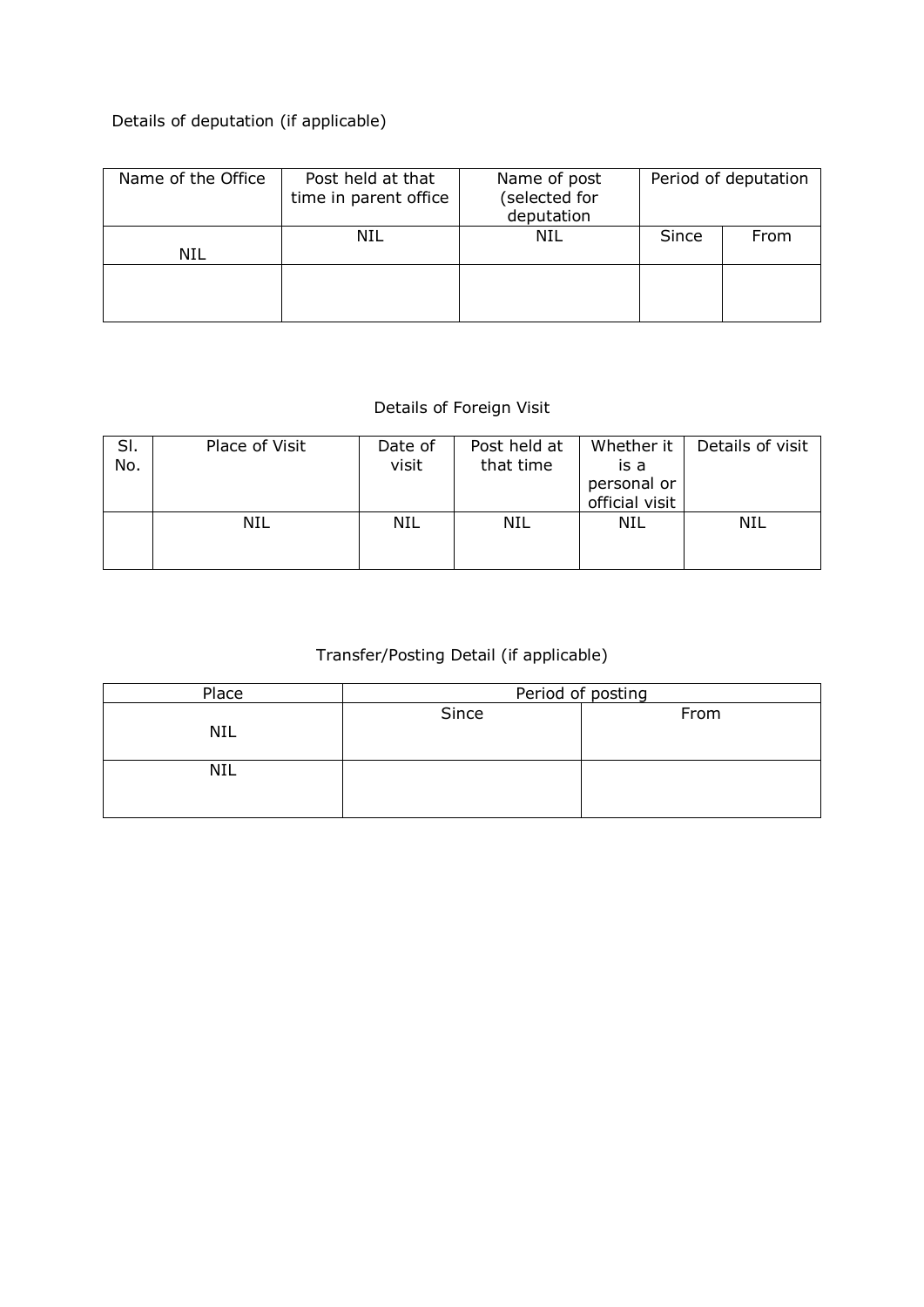## Details of deputation (if applicable)

| Name of the Office | Post held at that<br>time in parent office | Name of post<br>(selected for<br>deputation | Period of deputation |      |  |
|--------------------|--------------------------------------------|---------------------------------------------|----------------------|------|--|
| NIL                | NIL                                        | NIL                                         | Since                | From |  |
|                    |                                            |                                             |                      |      |  |

## Details of Foreign Visit

| SI.<br>No. | Place of Visit | Date of<br>visit | Post held at<br>that time | Whether it<br>is a<br>personal or<br>official visit | Details of visit |
|------------|----------------|------------------|---------------------------|-----------------------------------------------------|------------------|
|            | <b>NIL</b>     | NIL              | NIL                       | NIL                                                 | NIL              |

## Transfer/Posting Detail (if applicable)

| Place      | Period of posting |      |  |  |  |  |
|------------|-------------------|------|--|--|--|--|
| <b>NIL</b> | Since             | From |  |  |  |  |
| NIL        |                   |      |  |  |  |  |